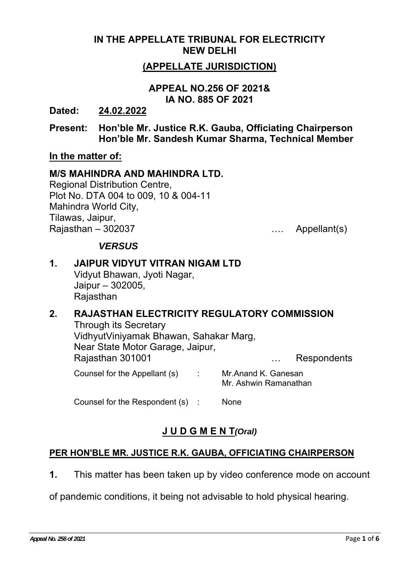### **IN THE APPELLATE TRIBUNAL FOR ELECTRICITY NEW DELHI**

## **(APPELLATE JURISDICTION)**

### **APPEAL NO.256 OF 2021& IA NO. 885 OF 2021**

**Dated: 24.02.2022**

**Present: Hon'ble Mr. Justice R.K. Gauba, Officiating Chairperson Hon'ble Mr. Sandesh Kumar Sharma, Technical Member** 

### **In the matter of:**

#### **M/S MAHINDRA AND MAHINDRA LTD.**

Regional Distribution Centre, Plot No. DTA 004 to 009, 10 & 004-11 Mahindra World City, Tilawas, Jaipur, Rajasthan – 302037 …. Appellant(s)

### *VERSUS*

## **1. JAIPUR VIDYUT VITRAN NIGAM LTD**

Vidyut Bhawan, Jyoti Nagar, Jaipur – 302005, **Rajasthan** 

## **2. RAJASTHAN ELECTRICITY REGULATORY COMMISSION**

Through its Secretary VidhyutViniyamak Bhawan, Sahakar Marg, Near State Motor Garage, Jaipur, Rajasthan 301001 … Respondents Counsel for the Appellant (s) : Mr.Anand K. Ganesan Mr. Ashwin Ramanathan

Counsel for the Respondent (s) : None

# **J U D G M E N T***(Oral)*

### **PER HON'BLE MR. JUSTICE R.K. GAUBA, OFFICIATING CHAIRPERSON**

**1.** This matter has been taken up by video conference mode on account

of pandemic conditions, it being not advisable to hold physical hearing.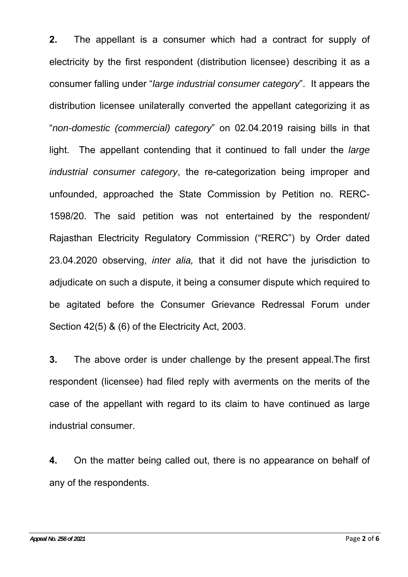**2.** The appellant is a consumer which had a contract for supply of electricity by the first respondent (distribution licensee) describing it as a consumer falling under "*large industrial consumer category*". It appears the distribution licensee unilaterally converted the appellant categorizing it as "*non-domestic (commercial) category*" on 02.04.2019 raising bills in that light. The appellant contending that it continued to fall under the *large industrial consumer category*, the re-categorization being improper and unfounded, approached the State Commission by Petition no. RERC-1598/20. The said petition was not entertained by the respondent/ Rajasthan Electricity Regulatory Commission ("RERC") by Order dated 23.04.2020 observing, *inter alia,* that it did not have the jurisdiction to adjudicate on such a dispute, it being a consumer dispute which required to be agitated before the Consumer Grievance Redressal Forum under Section 42(5) & (6) of the Electricity Act, 2003.

**3.** The above order is under challenge by the present appeal.The first respondent (licensee) had filed reply with averments on the merits of the case of the appellant with regard to its claim to have continued as large industrial consumer.

**4.** On the matter being called out, there is no appearance on behalf of any of the respondents.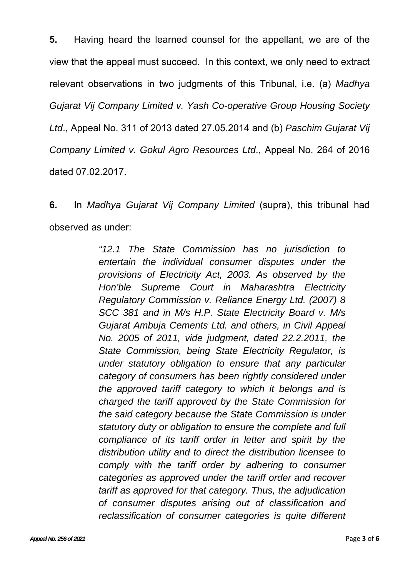**5.** Having heard the learned counsel for the appellant, we are of the view that the appeal must succeed. In this context, we only need to extract relevant observations in two judgments of this Tribunal, i.e. (a) *Madhya Gujarat Vij Company Limited v. Yash Co-operative Group Housing Society Ltd*., Appeal No. 311 of 2013 dated 27.05.2014 and (b) *Paschim Gujarat Vij Company Limited v. Gokul Agro Resources Ltd*., Appeal No. 264 of 2016 dated 07.02.2017.

**6.** In *Madhya Gujarat Vij Company Limited* (supra), this tribunal had observed as under:

> *"12.1 The State Commission has no jurisdiction to entertain the individual consumer disputes under the provisions of Electricity Act, 2003. As observed by the Hon'ble Supreme Court in Maharashtra Electricity Regulatory Commission v. Reliance Energy Ltd. (2007) 8 SCC 381 and in M/s H.P. State Electricity Board v. M/s Gujarat Ambuja Cements Ltd. and others, in Civil Appeal No. 2005 of 2011, vide judgment, dated 22.2.2011, the State Commission, being State Electricity Regulator, is under statutory obligation to ensure that any particular category of consumers has been rightly considered under the approved tariff category to which it belongs and is charged the tariff approved by the State Commission for the said category because the State Commission is under statutory duty or obligation to ensure the complete and full compliance of its tariff order in letter and spirit by the distribution utility and to direct the distribution licensee to comply with the tariff order by adhering to consumer categories as approved under the tariff order and recover tariff as approved for that category. Thus, the adjudication of consumer disputes arising out of classification and reclassification of consumer categories is quite different*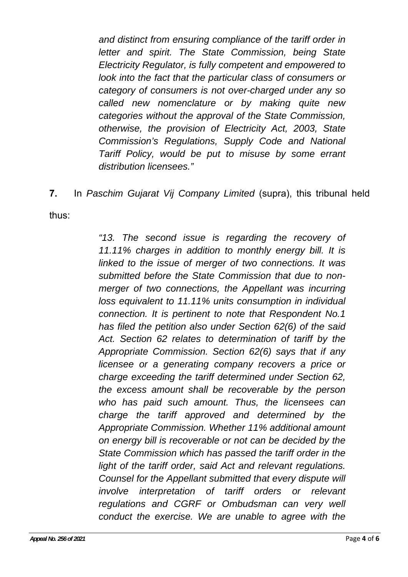*and distinct from ensuring compliance of the tariff order in letter and spirit. The State Commission, being State Electricity Regulator, is fully competent and empowered to look into the fact that the particular class of consumers or category of consumers is not over-charged under any so called new nomenclature or by making quite new categories without the approval of the State Commission, otherwise, the provision of Electricity Act, 2003, State Commission's Regulations, Supply Code and National Tariff Policy, would be put to misuse by some errant distribution licensees."*

**7.** In *Paschim Gujarat Vij Company Limited* (supra), this tribunal held

thus:

*"13. The second issue is regarding the recovery of 11.11% charges in addition to monthly energy bill. It is linked to the issue of merger of two connections. It was submitted before the State Commission that due to nonmerger of two connections, the Appellant was incurring loss equivalent to 11.11% units consumption in individual connection. It is pertinent to note that Respondent No.1 has filed the petition also under Section 62(6) of the said Act. Section 62 relates to determination of tariff by the Appropriate Commission. Section 62(6) says that if any licensee or a generating company recovers a price or charge exceeding the tariff determined under Section 62, the excess amount shall be recoverable by the person who has paid such amount. Thus, the licensees can charge the tariff approved and determined by the Appropriate Commission. Whether 11% additional amount on energy bill is recoverable or not can be decided by the State Commission which has passed the tariff order in the*  light of the tariff order, said Act and relevant regulations. *Counsel for the Appellant submitted that every dispute will involve interpretation of tariff orders or relevant regulations and CGRF or Ombudsman can very well conduct the exercise. We are unable to agree with the*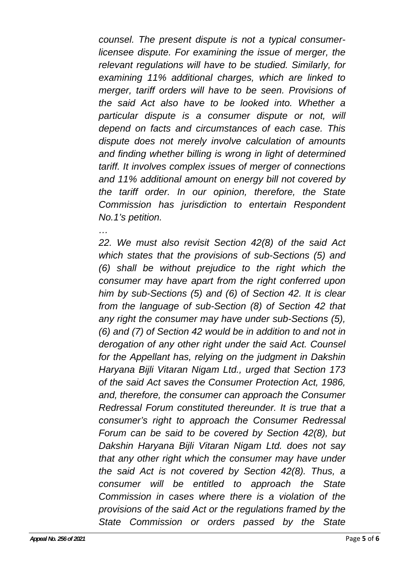*counsel. The present dispute is not a typical consumerlicensee dispute. For examining the issue of merger, the relevant regulations will have to be studied. Similarly, for examining 11% additional charges, which are linked to merger, tariff orders will have to be seen. Provisions of the said Act also have to be looked into. Whether a particular dispute is a consumer dispute or not, will depend on facts and circumstances of each case. This dispute does not merely involve calculation of amounts and finding whether billing is wrong in light of determined tariff. It involves complex issues of merger of connections and 11% additional amount on energy bill not covered by the tariff order. In our opinion, therefore, the State Commission has jurisdiction to entertain Respondent No.1's petition.* 

*22. We must also revisit Section 42(8) of the said Act which states that the provisions of sub-Sections (5) and (6) shall be without prejudice to the right which the consumer may have apart from the right conferred upon him by sub-Sections (5) and (6) of Section 42. It is clear from the language of sub-Section (8) of Section 42 that any right the consumer may have under sub-Sections (5), (6) and (7) of Section 42 would be in addition to and not in derogation of any other right under the said Act. Counsel for the Appellant has, relying on the judgment in Dakshin Haryana Bijli Vitaran Nigam Ltd., urged that Section 173 of the said Act saves the Consumer Protection Act, 1986, and, therefore, the consumer can approach the Consumer Redressal Forum constituted thereunder. It is true that a consumer's right to approach the Consumer Redressal Forum can be said to be covered by Section 42(8), but Dakshin Haryana Bijli Vitaran Nigam Ltd. does not say that any other right which the consumer may have under the said Act is not covered by Section 42(8). Thus, a consumer will be entitled to approach the State Commission in cases where there is a violation of the provisions of the said Act or the regulations framed by the State Commission or orders passed by the State* 

*…*